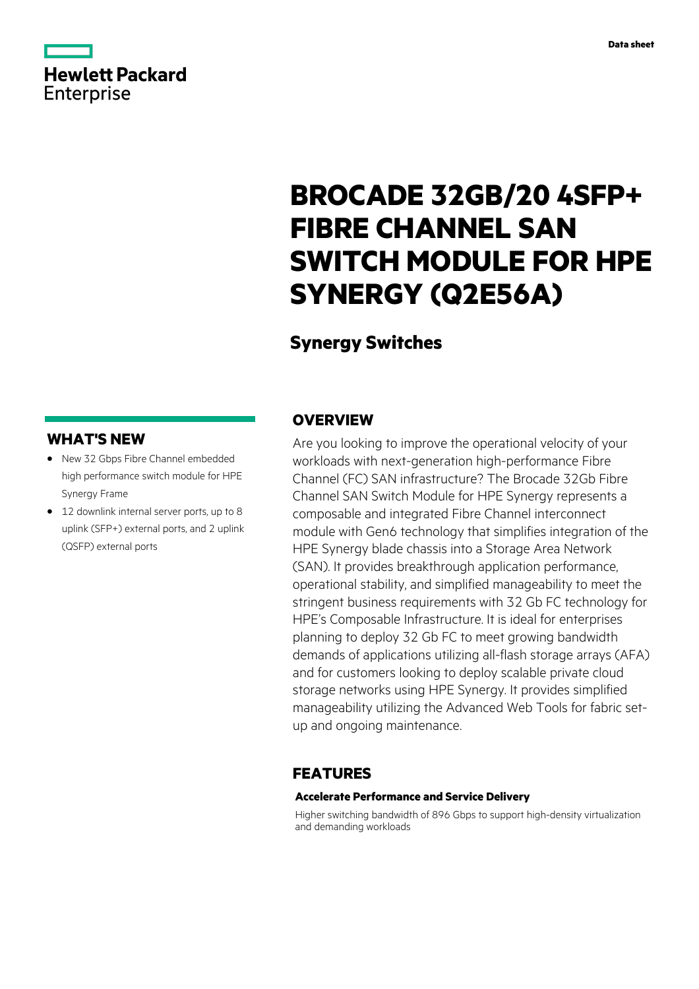# **Hewlett Packard** Enterprise

# **BROCADE 32GB/20 4SFP+ FIBRE CHANNEL SAN SWITCH MODULE FOR HPE SYNERGY (Q2E56A)**

# **Synergy Switches**

# **WHAT'S NEW**

- **·** New 32 Gbps Fibre Channel embedded high performance switch module for HPE Synergy Frame
- **·** 12 downlink internal server ports, up to 8 uplink (SFP+) external ports, and 2 uplink (QSFP) external ports

## **OVERVIEW**

Are you looking to improve the operational velocity of your workloads with next-generation high-performance Fibre Channel (FC) SAN infrastructure? The Brocade 32Gb Fibre Channel SAN Switch Module for HPE Synergy represents a composable and integrated Fibre Channel interconnect module with Gen6 technology that simplifies integration of the HPE Synergy blade chassis into a Storage Area Network (SAN). It provides breakthrough application performance, operational stability, and simplified manageability to meet the stringent business requirements with 32 Gb FC technology for HPE's Composable Infrastructure. It is ideal for enterprises planning to deploy 32 Gb FC to meet growing bandwidth demands of applications utilizing all-flash storage arrays (AFA) and for customers looking to deploy scalable private cloud storage networks using HPE Synergy. It provides simplified manageability utilizing the Advanced Web Tools for fabric setup and ongoing maintenance.

## **FEATURES**

#### **Accelerate Performance and Service Delivery**

Higher switching bandwidth of 896 Gbps to support high-density virtualization and demanding workloads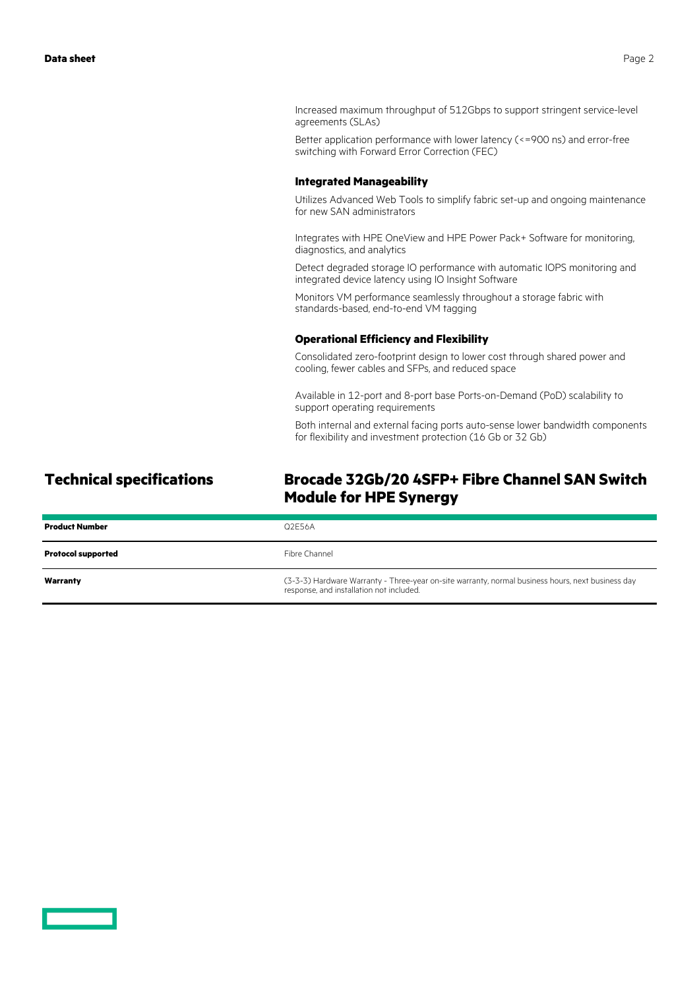Increased maximum throughput of 512Gbps to support stringent service-level agreements (SLAs)

Better application performance with lower latency (<=900 ns) and error-free switching with Forward Error Correction (FEC)

#### **Integrated Manageability**

Utilizes Advanced Web Tools to simplify fabric set-up and ongoing maintenance for new SAN administrators

Integrates with HPE OneView and HPE Power Pack+ Software for monitoring, diagnostics, and analytics

Detect degraded storage IO performance with automatic IOPS monitoring and integrated device latency using IO Insight Software

Monitors VM performance seamlessly throughout a storage fabric with standards-based, end-to-end VM tagging

#### **Operational Efficiency and Flexibility**

Consolidated zero-footprint design to lower cost through shared power and cooling, fewer cables and SFPs, and reduced space

Available in 12-port and 8-port base Ports-on-Demand (PoD) scalability to support operating requirements

Both internal and external facing ports auto-sense lower bandwidth components for flexibility and investment protection (16 Gb or 32 Gb)

# **Technical specifications Brocade 32Gb/20 4SFP+ Fibre Channel SAN Switch Module for HPE Synergy**

| <b>Product Number</b>     | Q2F56A                                                                                                                                        |
|---------------------------|-----------------------------------------------------------------------------------------------------------------------------------------------|
| <b>Protocol supported</b> | Fibre Channel                                                                                                                                 |
| Warranty                  | (3-3-3) Hardware Warranty - Three-year on-site warranty, normal business hours, next business day<br>response, and installation not included. |